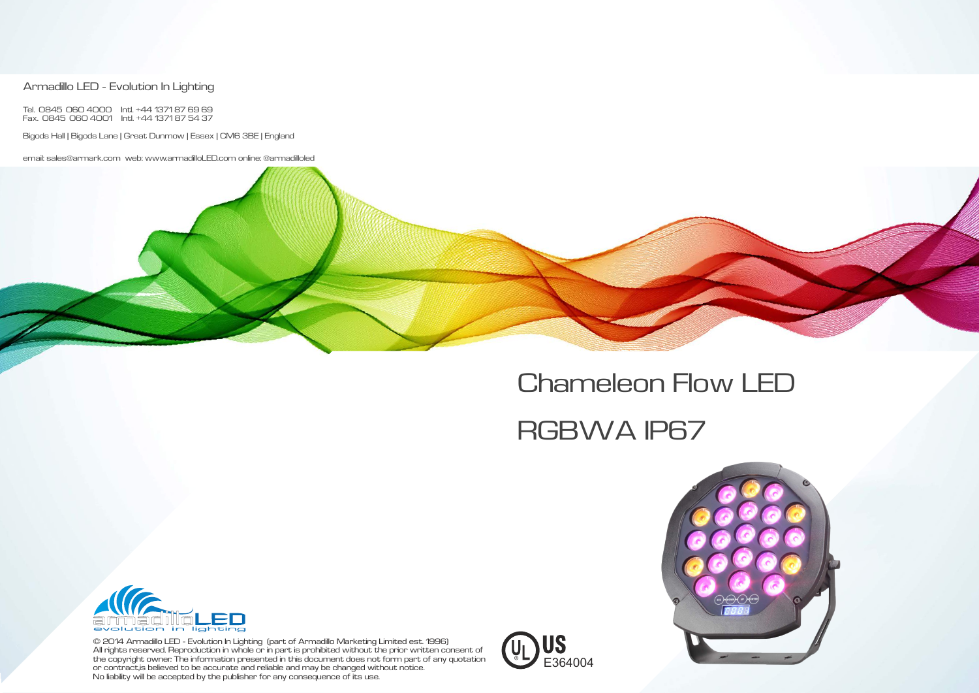© 2014 Armadillo LED - Evolution In Lighting (part of Armadillo Marketing Limited est. 1996) All rights reserved. Reproduction in whole or in part is prohibited without the prior written consent of the copyright owner. The information presented in this document does not form part of any quotation or contract ,is believed to be accurate and reliable and may be changed without notice. No liability will be accepted by the publisher for any consequence of its use.

#### Armadillo LED - Evolution In Lighting

Tel. 0845 060 4000 Intl. +44 1371 87 69 69 Fax. 0845 060 4001 Intl. +44 1371 87 54 37

Bigods Hall | Bigods Lane | Great Dunmow | Essex | CM6 3BE | England

email: sales@armark.com web: www.armadilloLED.com online: @armadilloled







## Chameleon Flow LED

# RGBWA IP67